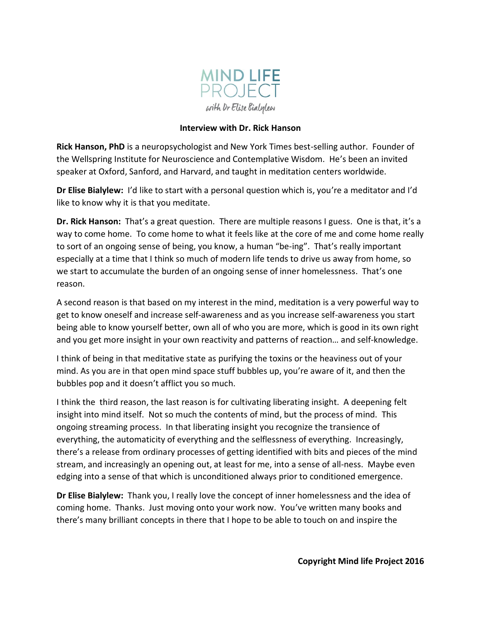

## **Interview with Dr. Rick Hanson**

**Rick Hanson, PhD** is a neuropsychologist and New York Times best-selling author. Founder of the Wellspring Institute for Neuroscience and Contemplative Wisdom. He's been an invited speaker at Oxford, Sanford, and Harvard, and taught in meditation centers worldwide.

**Dr Elise Bialylew:** I'd like to start with a personal question which is, you're a meditator and I'd like to know why it is that you meditate.

**Dr. Rick Hanson:** That's a great question. There are multiple reasons I guess. One is that, it's a way to come home. To come home to what it feels like at the core of me and come home really to sort of an ongoing sense of being, you know, a human "be-ing". That's really important especially at a time that I think so much of modern life tends to drive us away from home, so we start to accumulate the burden of an ongoing sense of inner homelessness. That's one reason.

A second reason is that based on my interest in the mind, meditation is a very powerful way to get to know oneself and increase self-awareness and as you increase self-awareness you start being able to know yourself better, own all of who you are more, which is good in its own right and you get more insight in your own reactivity and patterns of reaction… and self-knowledge.

I think of being in that meditative state as purifying the toxins or the heaviness out of your mind. As you are in that open mind space stuff bubbles up, you're aware of it, and then the bubbles pop and it doesn't afflict you so much.

I think the third reason, the last reason is for cultivating liberating insight. A deepening felt insight into mind itself. Not so much the contents of mind, but the process of mind. This ongoing streaming process. In that liberating insight you recognize the transience of everything, the automaticity of everything and the selflessness of everything. Increasingly, there's a release from ordinary processes of getting identified with bits and pieces of the mind stream, and increasingly an opening out, at least for me, into a sense of all-ness. Maybe even edging into a sense of that which is unconditioned always prior to conditioned emergence.

**Dr Elise Bialylew:** Thank you, I really love the concept of inner homelessness and the idea of coming home. Thanks. Just moving onto your work now. You've written many books and there's many brilliant concepts in there that I hope to be able to touch on and inspire the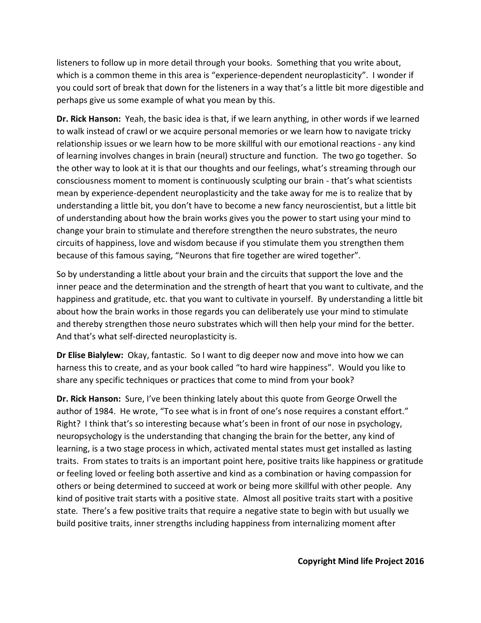listeners to follow up in more detail through your books. Something that you write about, which is a common theme in this area is "experience-dependent neuroplasticity". I wonder if you could sort of break that down for the listeners in a way that's a little bit more digestible and perhaps give us some example of what you mean by this.

**Dr. Rick Hanson:** Yeah, the basic idea is that, if we learn anything, in other words if we learned to walk instead of crawl or we acquire personal memories or we learn how to navigate tricky relationship issues or we learn how to be more skillful with our emotional reactions - any kind of learning involves changes in brain (neural) structure and function. The two go together. So the other way to look at it is that our thoughts and our feelings, what's streaming through our consciousness moment to moment is continuously sculpting our brain - that's what scientists mean by experience-dependent neuroplasticity and the take away for me is to realize that by understanding a little bit, you don't have to become a new fancy neuroscientist, but a little bit of understanding about how the brain works gives you the power to start using your mind to change your brain to stimulate and therefore strengthen the neuro substrates, the neuro circuits of happiness, love and wisdom because if you stimulate them you strengthen them because of this famous saying, "Neurons that fire together are wired together".

So by understanding a little about your brain and the circuits that support the love and the inner peace and the determination and the strength of heart that you want to cultivate, and the happiness and gratitude, etc. that you want to cultivate in yourself. By understanding a little bit about how the brain works in those regards you can deliberately use your mind to stimulate and thereby strengthen those neuro substrates which will then help your mind for the better. And that's what self-directed neuroplasticity is.

**Dr Elise Bialylew:** Okay, fantastic. So I want to dig deeper now and move into how we can harness this to create, and as your book called "to hard wire happiness". Would you like to share any specific techniques or practices that come to mind from your book?

**Dr. Rick Hanson:** Sure, I've been thinking lately about this quote from George Orwell the author of 1984. He wrote, "To see what is in front of one's nose requires a constant effort." Right? I think that's so interesting because what's been in front of our nose in psychology, neuropsychology is the understanding that changing the brain for the better, any kind of learning, is a two stage process in which, activated mental states must get installed as lasting traits. From states to traits is an important point here, positive traits like happiness or gratitude or feeling loved or feeling both assertive and kind as a combination or having compassion for others or being determined to succeed at work or being more skillful with other people. Any kind of positive trait starts with a positive state. Almost all positive traits start with a positive state. There's a few positive traits that require a negative state to begin with but usually we build positive traits, inner strengths including happiness from internalizing moment after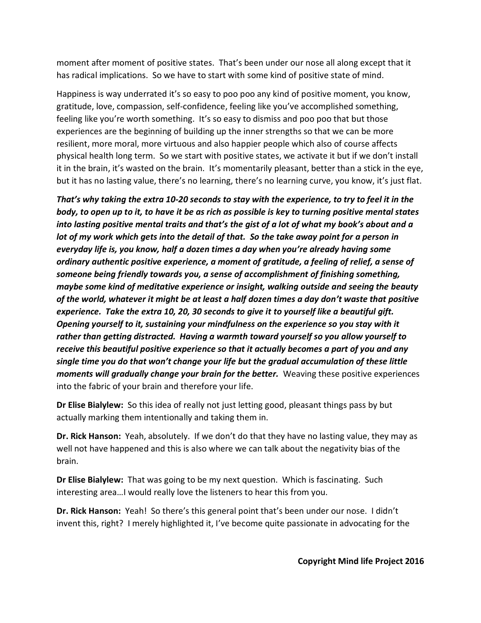moment after moment of positive states. That's been under our nose all along except that it has radical implications. So we have to start with some kind of positive state of mind.

Happiness is way underrated it's so easy to poo poo any kind of positive moment, you know, gratitude, love, compassion, self-confidence, feeling like you've accomplished something, feeling like you're worth something. It's so easy to dismiss and poo poo that but those experiences are the beginning of building up the inner strengths so that we can be more resilient, more moral, more virtuous and also happier people which also of course affects physical health long term. So we start with positive states, we activate it but if we don't install it in the brain, it's wasted on the brain. It's momentarily pleasant, better than a stick in the eye, but it has no lasting value, there's no learning, there's no learning curve, you know, it's just flat.

*That's why taking the extra 10-20 seconds to stay with the experience, to try to feel it in the body, to open up to it, to have it be as rich as possible is key to turning positive mental states into lasting positive mental traits and that's the gist of a lot of what my book's about and a lot of my work which gets into the detail of that. So the take away point for a person in everyday life is, you know, half a dozen times a day when you're already having some ordinary authentic positive experience, a moment of gratitude, a feeling of relief, a sense of someone being friendly towards you, a sense of accomplishment of finishing something, maybe some kind of meditative experience or insight, walking outside and seeing the beauty of the world, whatever it might be at least a half dozen times a day don't waste that positive experience. Take the extra 10, 20, 30 seconds to give it to yourself like a beautiful gift. Opening yourself to it, sustaining your mindfulness on the experience so you stay with it rather than getting distracted. Having a warmth toward yourself so you allow yourself to receive this beautiful positive experience so that it actually becomes a part of you and any single time you do that won't change your life but the gradual accumulation of these little moments will gradually change your brain for the better.* Weaving these positive experiences into the fabric of your brain and therefore your life.

**Dr Elise Bialylew:** So this idea of really not just letting good, pleasant things pass by but actually marking them intentionally and taking them in.

**Dr. Rick Hanson:** Yeah, absolutely. If we don't do that they have no lasting value, they may as well not have happened and this is also where we can talk about the negativity bias of the brain.

**Dr Elise Bialylew:** That was going to be my next question. Which is fascinating. Such interesting area…I would really love the listeners to hear this from you.

**Dr. Rick Hanson:** Yeah! So there's this general point that's been under our nose. I didn't invent this, right? I merely highlighted it, I've become quite passionate in advocating for the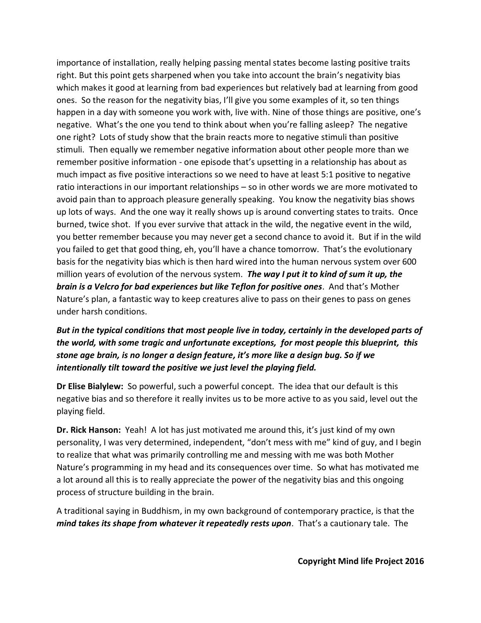importance of installation, really helping passing mental states become lasting positive traits right. But this point gets sharpened when you take into account the brain's negativity bias which makes it good at learning from bad experiences but relatively bad at learning from good ones. So the reason for the negativity bias, I'll give you some examples of it, so ten things happen in a day with someone you work with, live with. Nine of those things are positive, one's negative. What's the one you tend to think about when you're falling asleep? The negative one right? Lots of study show that the brain reacts more to negative stimuli than positive stimuli. Then equally we remember negative information about other people more than we remember positive information - one episode that's upsetting in a relationship has about as much impact as five positive interactions so we need to have at least 5:1 positive to negative ratio interactions in our important relationships – so in other words we are more motivated to avoid pain than to approach pleasure generally speaking. You know the negativity bias shows up lots of ways. And the one way it really shows up is around converting states to traits. Once burned, twice shot. If you ever survive that attack in the wild, the negative event in the wild, you better remember because you may never get a second chance to avoid it. But if in the wild you failed to get that good thing, eh, you'll have a chance tomorrow. That's the evolutionary basis for the negativity bias which is then hard wired into the human nervous system over 600 million years of evolution of the nervous system. *The way I put it to kind of sum it up, the brain is a Velcro for bad experiences but like Teflon for positive ones*. And that's Mother Nature's plan, a fantastic way to keep creatures alive to pass on their genes to pass on genes under harsh conditions.

*But in the typical conditions that most people live in today, certainly in the developed parts of the world, with some tragic and unfortunate exceptions, for most people this blueprint, this stone age brain, is no longer a design feature, it's more like a design bug. So if we intentionally tilt toward the positive we just level the playing field.* 

**Dr Elise Bialylew:** So powerful, such a powerful concept. The idea that our default is this negative bias and so therefore it really invites us to be more active to as you said, level out the playing field.

**Dr. Rick Hanson:** Yeah! A lot has just motivated me around this, it's just kind of my own personality, I was very determined, independent, "don't mess with me" kind of guy, and I begin to realize that what was primarily controlling me and messing with me was both Mother Nature's programming in my head and its consequences over time. So what has motivated me a lot around all this is to really appreciate the power of the negativity bias and this ongoing process of structure building in the brain.

A traditional saying in Buddhism, in my own background of contemporary practice, is that the *mind takes its shape from whatever it repeatedly rests upon*. That's a cautionary tale. The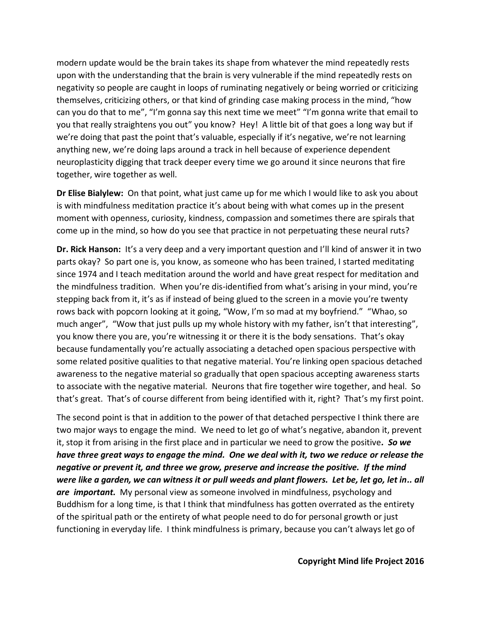modern update would be the brain takes its shape from whatever the mind repeatedly rests upon with the understanding that the brain is very vulnerable if the mind repeatedly rests on negativity so people are caught in loops of ruminating negatively or being worried or criticizing themselves, criticizing others, or that kind of grinding case making process in the mind, "how can you do that to me", "I'm gonna say this next time we meet" "I'm gonna write that email to you that really straightens you out" you know? Hey! A little bit of that goes a long way but if we're doing that past the point that's valuable, especially if it's negative, we're not learning anything new, we're doing laps around a track in hell because of experience dependent neuroplasticity digging that track deeper every time we go around it since neurons that fire together, wire together as well.

**Dr Elise Bialylew:** On that point, what just came up for me which I would like to ask you about is with mindfulness meditation practice it's about being with what comes up in the present moment with openness, curiosity, kindness, compassion and sometimes there are spirals that come up in the mind, so how do you see that practice in not perpetuating these neural ruts?

**Dr. Rick Hanson:** It's a very deep and a very important question and I'll kind of answer it in two parts okay? So part one is, you know, as someone who has been trained, I started meditating since 1974 and I teach meditation around the world and have great respect for meditation and the mindfulness tradition. When you're dis-identified from what's arising in your mind, you're stepping back from it, it's as if instead of being glued to the screen in a movie you're twenty rows back with popcorn looking at it going, "Wow, I'm so mad at my boyfriend." "Whao, so much anger", "Wow that just pulls up my whole history with my father, isn't that interesting", you know there you are, you're witnessing it or there it is the body sensations. That's okay because fundamentally you're actually associating a detached open spacious perspective with some related positive qualities to that negative material. You're linking open spacious detached awareness to the negative material so gradually that open spacious accepting awareness starts to associate with the negative material. Neurons that fire together wire together, and heal. So that's great. That's of course different from being identified with it, right? That's my first point.

The second point is that in addition to the power of that detached perspective I think there are two major ways to engage the mind. We need to let go of what's negative, abandon it, prevent it, stop it from arising in the first place and in particular we need to grow the positive*. So we have three great ways to engage the mind. One we deal with it, two we reduce or release the negative or prevent it, and three we grow, preserve and increase the positive. If the mind were like a garden, we can witness it or pull weeds and plant flowers. Let be, let go, let in.. all are important.* My personal view as someone involved in mindfulness, psychology and Buddhism for a long time, is that I think that mindfulness has gotten overrated as the entirety of the spiritual path or the entirety of what people need to do for personal growth or just functioning in everyday life. I think mindfulness is primary, because you can't always let go of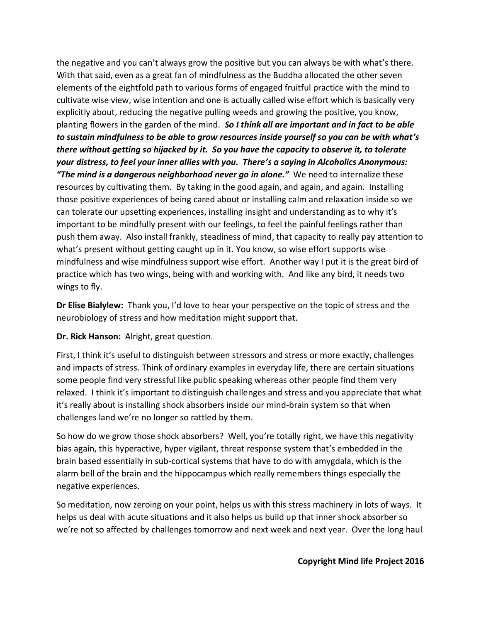the negative and you can't always grow the positive but you can always be with what's there. With that said, even as a great fan of mindfulness as the Buddha allocated the other seven elements of the eightfold path to various forms of engaged fruitful practice with the mind to cultivate wise view, wise intention and one is actually called wise effort which is basically very explicitly about, reducing the negative pulling weeds and growing the positive, you know, planting flowers in the garden of the mind. *So I think all are important and in fact to be able to sustain mindfulness to be able to grow resources inside yourself so you can be with what's there without getting so hijacked by it. So you have the capacity to observe it, to tolerate your distress, to feel your inner allies with you. There's a saying in Alcoholics Anonymous: "The mind is a dangerous neighborhood never go in alone."* We need to internalize these resources by cultivating them. By taking in the good again, and again, and again. Installing those positive experiences of being cared about or installing calm and relaxation inside so we can tolerate our upsetting experiences, installing insight and understanding as to why it's important to be mindfully present with our feelings, to feel the painful feelings rather than push them away. Also install frankly, steadiness of mind, that capacity to really pay attention to what's present without getting caught up in it. You know, so wise effort supports wise mindfulness and wise mindfulness support wise effort. Another way I put it is the great bird of practice which has two wings, being with and working with. And like any bird, it needs two wings to fly.

**Dr Elise Bialylew:** Thank you, I'd love to hear your perspective on the topic of stress and the neurobiology of stress and how meditation might support that.

## **Dr. Rick Hanson:** Alright, great question.

First, I think it's useful to distinguish between stressors and stress or more exactly, challenges and impacts of stress. Think of ordinary examples in everyday life, there are certain situations some people find very stressful like public speaking whereas other people find them very relaxed. I think it's important to distinguish challenges and stress and you appreciate that what it's really about is installing shock absorbers inside our mind-brain system so that when challenges land we're no longer so rattled by them.

So how do we grow those shock absorbers? Well, you're totally right, we have this negativity bias again, this hyperactive, hyper vigilant, threat response system that's embedded in the brain based essentially in sub-cortical systems that have to do with amygdala, which is the alarm bell of the brain and the hippocampus which really remembers things especially the negative experiences.

So meditation, now zeroing on your point, helps us with this stress machinery in lots of ways. It helps us deal with acute situations and it also helps us build up that inner shock absorber so we're not so affected by challenges tomorrow and next week and next year. Over the long haul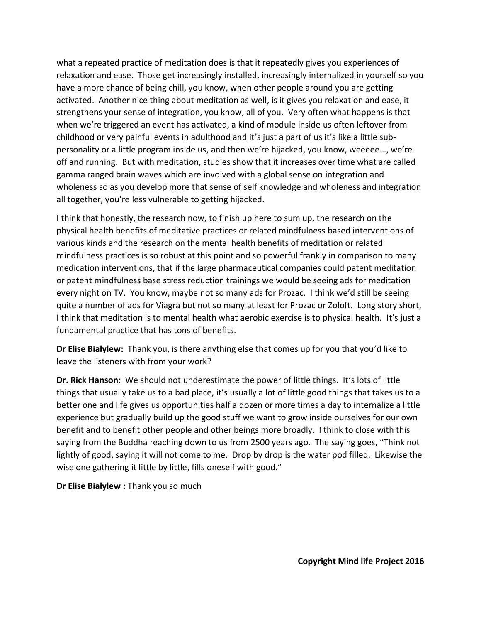what a repeated practice of meditation does is that it repeatedly gives you experiences of relaxation and ease. Those get increasingly installed, increasingly internalized in yourself so you have a more chance of being chill, you know, when other people around you are getting activated. Another nice thing about meditation as well, is it gives you relaxation and ease, it strengthens your sense of integration, you know, all of you. Very often what happens is that when we're triggered an event has activated, a kind of module inside us often leftover from childhood or very painful events in adulthood and it's just a part of us it's like a little subpersonality or a little program inside us, and then we're hijacked, you know, weeeee…, we're off and running. But with meditation, studies show that it increases over time what are called gamma ranged brain waves which are involved with a global sense on integration and wholeness so as you develop more that sense of self knowledge and wholeness and integration all together, you're less vulnerable to getting hijacked.

I think that honestly, the research now, to finish up here to sum up, the research on the physical health benefits of meditative practices or related mindfulness based interventions of various kinds and the research on the mental health benefits of meditation or related mindfulness practices is so robust at this point and so powerful frankly in comparison to many medication interventions, that if the large pharmaceutical companies could patent meditation or patent mindfulness base stress reduction trainings we would be seeing ads for meditation every night on TV. You know, maybe not so many ads for Prozac. I think we'd still be seeing quite a number of ads for Viagra but not so many at least for Prozac or Zoloft. Long story short, I think that meditation is to mental health what aerobic exercise is to physical health. It's just a fundamental practice that has tons of benefits.

**Dr Elise Bialylew:** Thank you, is there anything else that comes up for you that you'd like to leave the listeners with from your work?

**Dr. Rick Hanson:** We should not underestimate the power of little things. It's lots of little things that usually take us to a bad place, it's usually a lot of little good things that takes us to a better one and life gives us opportunities half a dozen or more times a day to internalize a little experience but gradually build up the good stuff we want to grow inside ourselves for our own benefit and to benefit other people and other beings more broadly. I think to close with this saying from the Buddha reaching down to us from 2500 years ago. The saying goes, "Think not lightly of good, saying it will not come to me. Drop by drop is the water pod filled. Likewise the wise one gathering it little by little, fills oneself with good."

**Dr Elise Bialylew :** Thank you so much